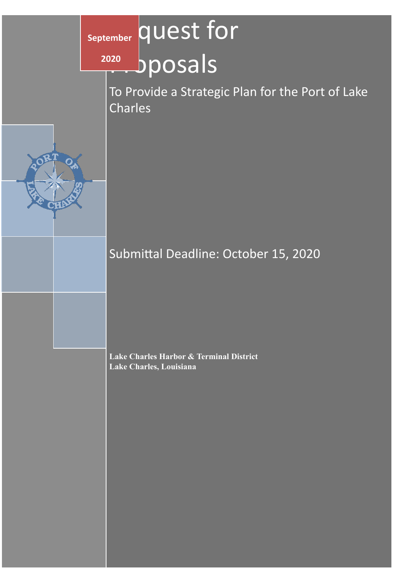# september **quest** for

bposals  **2020**

To Provide a Strategic Plan for the Port of Lake Charles



Submittal Deadline: October 15, 2020

**Lake Charles Harbor & Terminal District Lake Charles, Louisiana**

Port of Lake Charles | Confiden3al Port of Lake Charles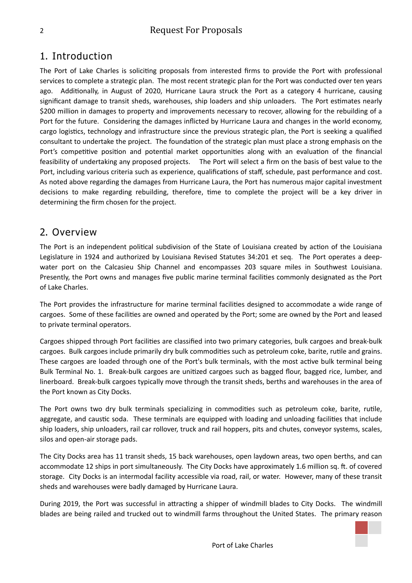### 1. Introduction

The Port of Lake Charles is soliciting proposals from interested firms to provide the Port with professional services to complete a strategic plan. The most recent strategic plan for the Port was conducted over ten years ago. Additionally, in August of 2020, Hurricane Laura struck the Port as a category 4 hurricane, causing significant damage to transit sheds, warehouses, ship loaders and ship unloaders. The Port estimates nearly \$200 million in damages to property and improvements necessary to recover, allowing for the rebuilding of a Port for the future. Considering the damages inflicted by Hurricane Laura and changes in the world economy, cargo logistics, technology and infrastructure since the previous strategic plan, the Port is seeking a qualified consultant to undertake the project. The foundation of the strategic plan must place a strong emphasis on the Port's competitive position and potential market opportunities along with an evaluation of the financial feasibility of undertaking any proposed projects. The Port will select a firm on the basis of best value to the Port, including various criteria such as experience, qualifications of staff, schedule, past performance and cost. As noted above regarding the damages from Hurricane Laura, the Port has numerous major capital investment decisions to make regarding rebuilding, therefore, time to complete the project will be a key driver in determining the firm chosen for the project.

#### 2. Overview

The Port is an independent political subdivision of the State of Louisiana created by action of the Louisiana Legislature in 1924 and authorized by Louisiana Revised Statutes 34:201 et seq. The Port operates a deepwater port on the Calcasieu Ship Channel and encompasses 203 square miles in Southwest Louisiana. Presently, the Port owns and manages five public marine terminal facilities commonly designated as the Port of Lake Charles.

The Port provides the infrastructure for marine terminal facilities designed to accommodate a wide range of cargoes. Some of these facilities are owned and operated by the Port; some are owned by the Port and leased to private terminal operators.

Cargoes shipped through Port facilities are classified into two primary categories, bulk cargoes and break-bulk cargoes. Bulk cargoes include primarily dry bulk commodities such as petroleum coke, barite, rutile and grains. These cargoes are loaded through one of the Port's bulk terminals, with the most active bulk terminal being Bulk Terminal No. 1. Break-bulk cargoes are unitized cargoes such as bagged flour, bagged rice, lumber, and linerboard. Break-bulk cargoes typically move through the transit sheds, berths and warehouses in the area of the Port known as City Docks.

The Port owns two dry bulk terminals specializing in commodities such as petroleum coke, barite, rutile, aggregate, and caustic soda. These terminals are equipped with loading and unloading facilities that include ship loaders, ship unloaders, rail car rollover, truck and rail hoppers, pits and chutes, conveyor systems, scales, silos and open-air storage pads.

The City Docks area has 11 transit sheds, 15 back warehouses, open laydown areas, two open berths, and can accommodate 12 ships in port simultaneously. The City Docks have approximately 1.6 million sq. ft. of covered storage. City Docks is an intermodal facility accessible via road, rail, or water. However, many of these transit sheds and warehouses were badly damaged by Hurricane Laura.

During 2019, the Port was successful in attracting a shipper of windmill blades to City Docks. The windmill blades are being railed and trucked out to windmill farms throughout the United States. The primary reason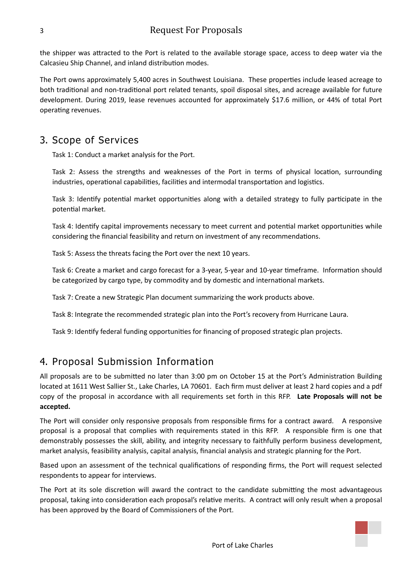the shipper was attracted to the Port is related to the available storage space, access to deep water via the Calcasieu Ship Channel, and inland distribution modes.

The Port owns approximately 5,400 acres in Southwest Louisiana. These properties include leased acreage to both traditional and non-traditional port related tenants, spoil disposal sites, and acreage available for future development. During 2019, lease revenues accounted for approximately \$17.6 million, or 44% of total Port operating revenues.

#### 3. Scope of Services

Task 1: Conduct a market analysis for the Port.

Task 2: Assess the strengths and weaknesses of the Port in terms of physical location, surrounding industries, operational capabilities, facilities and intermodal transportation and logistics.

Task 3: Identify potential market opportunities along with a detailed strategy to fully participate in the potential market.

Task 4: Identify capital improvements necessary to meet current and potential market opportunities while considering the financial feasibility and return on investment of any recommendations.

Task 5: Assess the threats facing the Port over the next 10 years.

Task 6: Create a market and cargo forecast for a 3-year, 5-year and 10-year timeframe. Information should be categorized by cargo type, by commodity and by domestic and international markets.

Task 7: Create a new Strategic Plan document summarizing the work products above.

Task 8: Integrate the recommended strategic plan into the Port's recovery from Hurricane Laura.

Task 9: Identify federal funding opportunities for financing of proposed strategic plan projects.

# 4. Proposal Submission Information

All proposals are to be submitted no later than 3:00 pm on October 15 at the Port's Administration Building located at 1611 West Sallier St., Lake Charles, LA 70601. Each firm must deliver at least 2 hard copies and a pdf copy of the proposal in accordance with all requirements set forth in this RFP. **Late Proposals will not be accepted.**

The Port will consider only responsive proposals from responsible firms for a contract award. A responsive proposal is a proposal that complies with requirements stated in this RFP. A responsible firm is one that demonstrably possesses the skill, ability, and integrity necessary to faithfully perform business development, market analysis, feasibility analysis, capital analysis, financial analysis and strategic planning for the Port.

Based upon an assessment of the technical qualifications of responding firms, the Port will request selected respondents to appear for interviews.

The Port at its sole discretion will award the contract to the candidate submitting the most advantageous proposal, taking into consideration each proposal's relative merits. A contract will only result when a proposal has been approved by the Board of Commissioners of the Port.

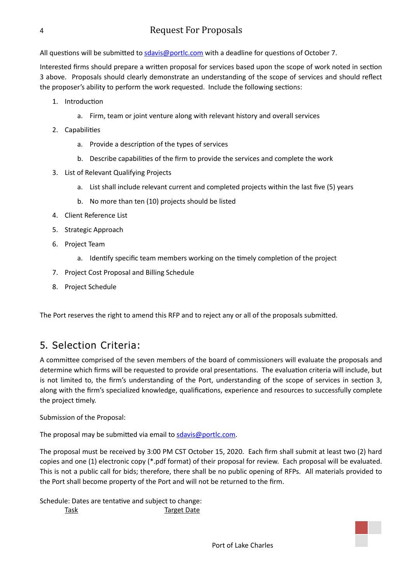All questions will be submitted to [sdavis@portlc.com](mailto:sdavis@portlc.com) with a deadline for questions of October 7.

Interested firms should prepare a written proposal for services based upon the scope of work noted in section 3 above. Proposals should clearly demonstrate an understanding of the scope of services and should reflect the proposer's ability to perform the work requested. Include the following sections:

- 1. Introduction
	- a. Firm, team or joint venture along with relevant history and overall services
- 2. Capabilities
	- a. Provide a description of the types of services
	- b. Describe capabilities of the firm to provide the services and complete the work
- 3. List of Relevant Qualifying Projects
	- a. List shall include relevant current and completed projects within the last five (5) years
	- b. No more than ten (10) projects should be listed
- 4. Client Reference List
- 5. Strategic Approach
- 6. Project Team
	- a. Identify specific team members working on the timely completion of the project
- 7. Project Cost Proposal and Billing Schedule
- 8. Project Schedule

The Port reserves the right to amend this RFP and to reject any or all of the proposals submitted.

# 5. Selection Criteria:

A committee comprised of the seven members of the board of commissioners will evaluate the proposals and determine which firms will be requested to provide oral presentations. The evaluation criteria will include, but is not limited to, the firm's understanding of the Port, understanding of the scope of services in section 3, along with the firm's specialized knowledge, qualifications, experience and resources to successfully complete the project timely.

Submission of the Proposal:

The proposal may be submitted via email to  $sdavis@portlc.com$ .

The proposal must be received by 3:00 PM CST October 15, 2020. Each firm shall submit at least two (2) hard copies and one (1) electronic copy (\*.pdf format) of their proposal for review. Each proposal will be evaluated. This is not a public call for bids; therefore, there shall be no public opening of RFPs. All materials provided to the Port shall become property of the Port and will not be returned to the firm.

Schedule: Dates are tentative and subject to change: Task Target Date